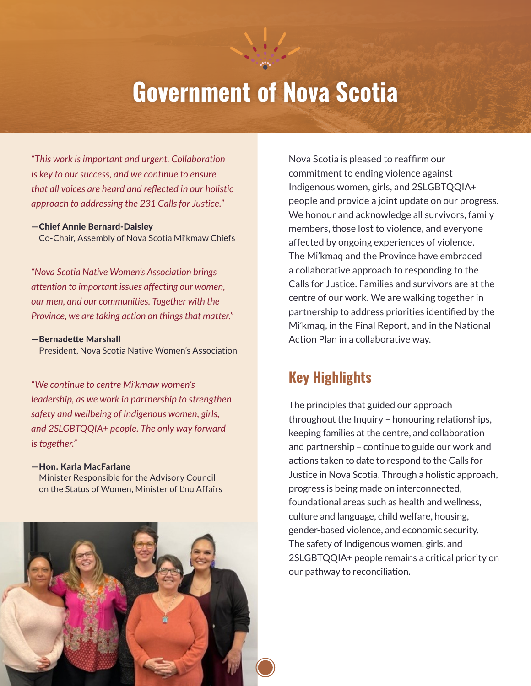# **Government of Nova Scotia**

*"This work is important and urgent. Collaboration is key to our success, and we continue to ensure that all voices are heard and reflected in our holistic approach to addressing the 231 Calls for Justice."*

#### — Chief Annie Bernard-Daisley

Co-Chair, Assembly of Nova Scotia Mi'kmaw Chiefs

*"Nova Scotia Native Women's Association brings attention to important issues affecting our women, our men, and our communities. Together with the Province, we are taking action on things that matter."*

— Bernadette Marshall

President, Nova Scotia Native Women's Association

*"We continue to centre Mi'kmaw women's leadership, as we work in partnership to strengthen safety and wellbeing of Indigenous women, girls, and 2SLGBTQQIA+ people. The only way forward is together."*

#### — Hon. Karla MacFarlane

Minister Responsible for the Advisory Council on the Status of Women, Minister of L'nu Affairs



Nova Scotia is pleased to reaffirm our commitment to ending violence against Indigenous women, girls, and 2SLGBTQQIA+ people and provide a joint update on our progress. We honour and acknowledge all survivors, family members, those lost to violence, and everyone affected by ongoing experiences of violence. The Mi'kmaq and the Province have embraced a collaborative approach to responding to the Calls for Justice. Families and survivors are at the centre of our work. We are walking together in partnership to address priorities identified by the Mi'kmaq, in the Final Report, and in the National Action Plan in a collaborative way.

## **Key Highlights**

The principles that guided our approach throughout the Inquiry – honouring relationships, keeping families at the centre, and collaboration and partnership – continue to guide our work and actions taken to date to respond to the Calls for Justice in Nova Scotia. Through a holistic approach, progress is being made on interconnected, foundational areas such as health and wellness, culture and language, child welfare, housing, gender-based violence, and economic security. The safety of Indigenous women, girls, and 2SLGBTQQIA+ people remains a critical priority on our pathway to reconciliation.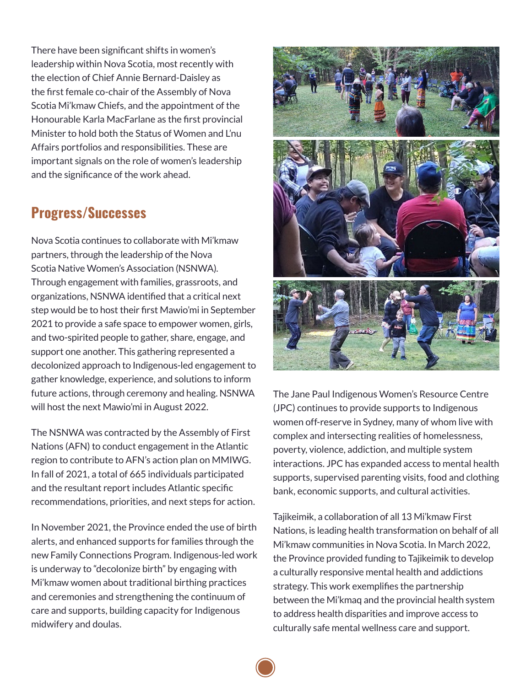There have been significant shifts in women's leadership within Nova Scotia, most recently with the election of Chief Annie Bernard-Daisley as the first female co-chair of the Assembly of Nova Scotia Mi'kmaw Chiefs, and the appointment of the Honourable Karla MacFarlane as the first provincial Minister to hold both the Status of Women and L'nu Affairs portfolios and responsibilities. These are important signals on the role of women's leadership and the significance of the work ahead.

### **Progress/Successes**

Nova Scotia continues to collaborate with Mi'kmaw partners, through the leadership of the Nova Scotia Native Women's Association (NSNWA). Through engagement with families, grassroots, and organizations, NSNWA identified that a critical next step would be to host their first Mawio'mi in September 2021 to provide a safe space to empower women, girls, and two-spirited people to gather, share, engage, and support one another. This gathering represented a decolonized approach to Indigenous-led engagement to gather knowledge, experience, and solutions to inform future actions, through ceremony and healing. NSNWA will host the next Mawio'mi in August 2022.

The NSNWA was contracted by the Assembly of First Nations (AFN) to conduct engagement in the Atlantic region to contribute to AFN's action plan on MMIWG. In fall of 2021, a total of 665 individuals participated and the resultant report includes Atlantic specific recommendations, priorities, and next steps for action.

In November 2021, the Province ended the use of birth alerts, and enhanced supports for families through the new Family Connections Program. Indigenous-led work is underway to "decolonize birth" by engaging with Mi'kmaw women about traditional birthing practices and ceremonies and strengthening the continuum of care and supports, building capacity for Indigenous midwifery and doulas.



The Jane Paul Indigenous Women's Resource Centre (JPC) continues to provide supports to Indigenous women off-reserve in Sydney, many of whom live with complex and intersecting realities of homelessness, poverty, violence, addiction, and multiple system interactions. JPC has expanded access to mental health supports, supervised parenting visits, food and clothing bank, economic supports, and cultural activities.

Tajikeimɨk, a collaboration of all 13 Mi'kmaw First Nations, is leading health transformation on behalf of all Mi'kmaw communities in Nova Scotia. In March 2022, the Province provided funding to Tajikeimɨk to develop a culturally responsive mental health and addictions strategy. This work exemplifies the partnership between the Mi'kmaq and the provincial health system to address health disparities and improve access to culturally safe mental wellness care and support.